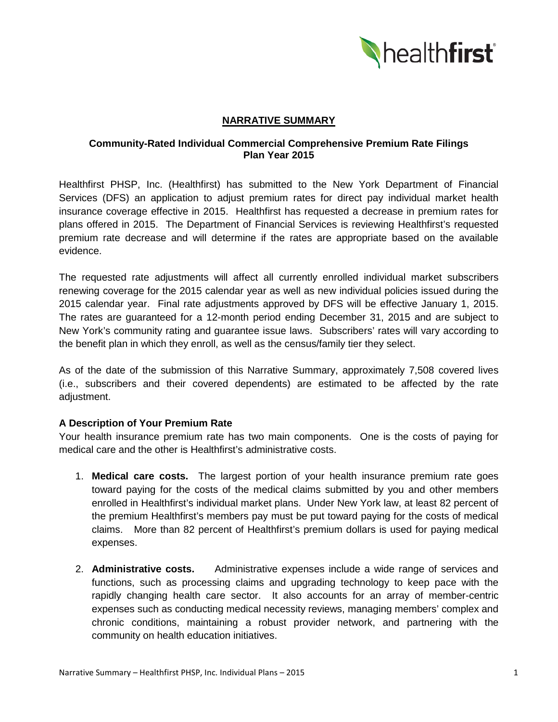

# **NARRATIVE SUMMARY**

# **Community-Rated Individual Commercial Comprehensive Premium Rate Filings Plan Year 2015**

Healthfirst PHSP, Inc. (Healthfirst) has submitted to the New York Department of Financial Services (DFS) an application to adjust premium rates for direct pay individual market health insurance coverage effective in 2015. Healthfirst has requested a decrease in premium rates for plans offered in 2015. The Department of Financial Services is reviewing Healthfirst's requested premium rate decrease and will determine if the rates are appropriate based on the available evidence.

The requested rate adjustments will affect all currently enrolled individual market subscribers renewing coverage for the 2015 calendar year as well as new individual policies issued during the 2015 calendar year. Final rate adjustments approved by DFS will be effective January 1, 2015. The rates are guaranteed for a 12-month period ending December 31, 2015 and are subject to New York's community rating and guarantee issue laws. Subscribers' rates will vary according to the benefit plan in which they enroll, as well as the census/family tier they select.

As of the date of the submission of this Narrative Summary, approximately 7,508 covered lives (i.e., subscribers and their covered dependents) are estimated to be affected by the rate adjustment.

# **A Description of Your Premium Rate**

Your health insurance premium rate has two main components. One is the costs of paying for medical care and the other is Healthfirst's administrative costs.

- 1. **Medical care costs.** The largest portion of your health insurance premium rate goes toward paying for the costs of the medical claims submitted by you and other members enrolled in Healthfirst's individual market plans. Under New York law, at least 82 percent of the premium Healthfirst's members pay must be put toward paying for the costs of medical claims. More than 82 percent of Healthfirst's premium dollars is used for paying medical expenses.
- 2. **Administrative costs.** Administrative expenses include a wide range of services and functions, such as processing claims and upgrading technology to keep pace with the rapidly changing health care sector. It also accounts for an array of member-centric expenses such as conducting medical necessity reviews, managing members' complex and chronic conditions, maintaining a robust provider network, and partnering with the community on health education initiatives.